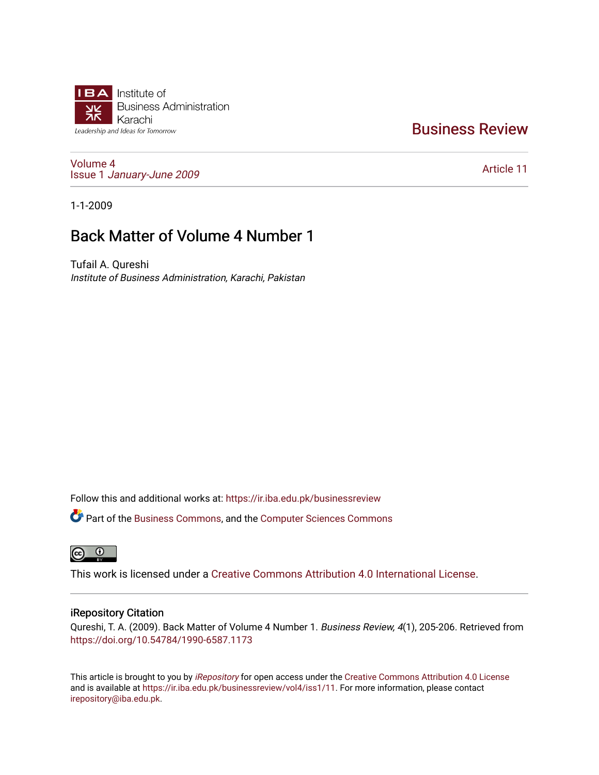

# [Business Review](https://ir.iba.edu.pk/businessreview)

[Volume 4](https://ir.iba.edu.pk/businessreview/vol4) Issue 1 [January-June 2009](https://ir.iba.edu.pk/businessreview/vol4/iss1) 

[Article 11](https://ir.iba.edu.pk/businessreview/vol4/iss1/11) 

1-1-2009

# Back Matter of Volume 4 Number 1

Tufail A. Qureshi Institute of Business Administration, Karachi, Pakistan

Follow this and additional works at: [https://ir.iba.edu.pk/businessreview](https://ir.iba.edu.pk/businessreview?utm_source=ir.iba.edu.pk%2Fbusinessreview%2Fvol4%2Fiss1%2F11&utm_medium=PDF&utm_campaign=PDFCoverPages) 

**C** Part of the [Business Commons](http://network.bepress.com/hgg/discipline/622?utm_source=ir.iba.edu.pk%2Fbusinessreview%2Fvol4%2Fiss1%2F11&utm_medium=PDF&utm_campaign=PDFCoverPages), and the Computer Sciences Commons



This work is licensed under a [Creative Commons Attribution 4.0 International License](https://creativecommons.org/licenses/by/4.0/).

### iRepository Citation

Qureshi, T. A. (2009). Back Matter of Volume 4 Number 1. Business Review, 4(1), 205-206. Retrieved from <https://doi.org/10.54784/1990-6587.1173>

This article is brought to you by [iRepository](https://ir.iba.edu.pk/) for open access under the Creative Commons Attribution 4.0 License and is available at [https://ir.iba.edu.pk/businessreview/vol4/iss1/11.](https://ir.iba.edu.pk/businessreview/vol4/iss1/11) For more information, please contact [irepository@iba.edu.pk.](mailto:irepository@iba.edu.pk)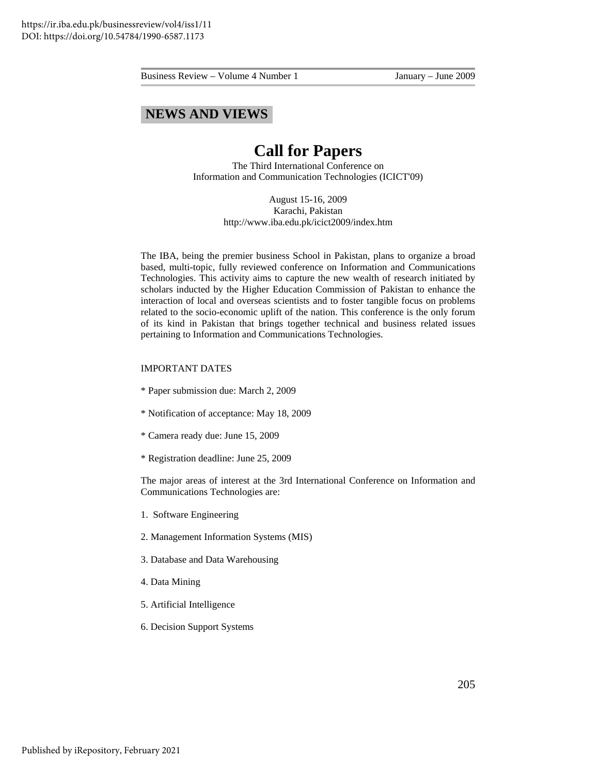Business Review – Volume 4 Number 1 January – June 2009

## **NEWS AND VIEWS**

## **Call for Papers**

The Third International Conference on Information and Communication Technologies (ICICT'09)

> August 15-16, 2009 Karachi, Pakistan http://www.iba.edu.pk/icict2009/index.htm

The IBA, being the premier business School in Pakistan, plans to organize a broad based, multi-topic, fully reviewed conference on Information and Communications Technologies. This activity aims to capture the new wealth of research initiated by scholars inducted by the Higher Education Commission of Pakistan to enhance the interaction of local and overseas scientists and to foster tangible focus on problems related to the socio-economic uplift of the nation. This conference is the only forum of its kind in Pakistan that brings together technical and business related issues pertaining to Information and Communications Technologies.

#### IMPORTANT DATES

- \* Paper submission due: March 2, 2009
- \* Notification of acceptance: May 18, 2009
- \* Camera ready due: June 15, 2009
- \* Registration deadline: June 25, 2009

The major areas of interest at the 3rd International Conference on Information and Communications Technologies are:

- 1. Software Engineering
- 2. Management Information Systems (MIS)
- 3. Database and Data Warehousing
- 4. Data Mining
- 5. Artificial Intelligence
- 6. Decision Support Systems